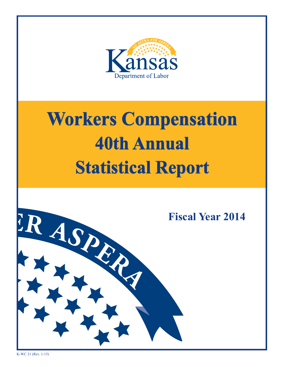

# **Workers Compensation 36th Annual 40th Annual Statistical Report Workers Compensation Statistical Report**

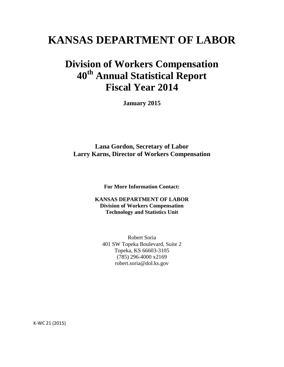# **KANSAS DEPARTMENT OF LABOR**

# **Division of Workers Compensation 40th Annual Statistical Report Fiscal Year 2014**

**January 2015**

**Lana Gordon, Secretary of Labor Larry Karns, Director of Workers Compensation**

**For More Information Contact:**

**KANSAS DEPARTMENT OF LABOR Division of Workers Compensation Technology and Statistics Unit**

Robert Soria 401 SW Topeka Boulevard, Suite 2 Topeka, KS 66603-3105 (785) 296-4000 x2169 robert.soria@dol.ks.gov

K-WC 21 (2015)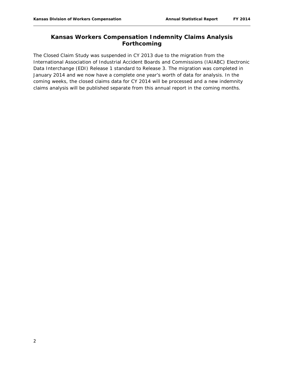# **Kansas Workers Compensation Indemnity Claims Analysis Forthcoming**

The Closed Claim Study was suspended in CY 2013 due to the migration from the International Association of Industrial Accident Boards and Commissions (IAIABC) Electronic Data Interchange (EDI) Release 1 standard to Release 3. The migration was completed in January 2014 and we now have a complete one year's worth of data for analysis. In the coming weeks, the closed claims data for CY 2014 will be processed and a new indemnity claims analysis will be published separate from this annual report in the coming months.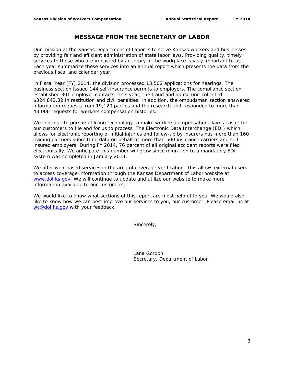## **MESSAGE FROM THE SECRETARY OF LABOR**

Our mission at the Kansas Department of Labor is to serve Kansas workers and businesses by providing fair and efficient administration of state labor laws. Providing quality, timely services to those who are impacted by an injury in the workplace is very important to us. Each year summarize these services into an annual report which presents the data from the previous fiscal and calendar year.

In Fiscal Year (FY) 2014, the division processed 13,502 applications for hearings. The business section issued 144 self-insurance permits to employers. The compliance section established 301 employer contacts. This year, the fraud and abuse unit collected \$324,842.32 in restitution and civil penalties. In addition, the ombudsman section answered information requests from 19,120 parties and the research unit responded to more than 43,000 requests for workers compensation histories.

We continue to pursue utilizing technology to make workers compensation claims easier for our customers to file and for us to process. The Electronic Data Interchange (EDI) which allows for electronic reporting of initial injuries and follow-up by insurers has more than 160 trading partners submitting data on behalf of more than 500 insurance carriers and selfinsured employers. During FY 2014, 76 percent of all original accident reports were filed electronically. We anticipate this number will grow since migration to a mandatory EDI system was completed in January 2014.

We offer web-based services in the area of coverage verification. This allows external users to access coverage information through the Kansas Department of Labor website at [www.dol.ks.gov.](http://www.dol.ks.gov/) We will continue to update and utilize our website to make more information available to our customers.

We would like to know what sections of this report are most helpful to you. We would also like to know how we can best improve our services to you, our customer. Please email us at [wc@dol.ks.gov](mailto:wc@dol.ks.gov) with your feedback.

Sincerely,

Lana Gordon Secretary, Department of Labor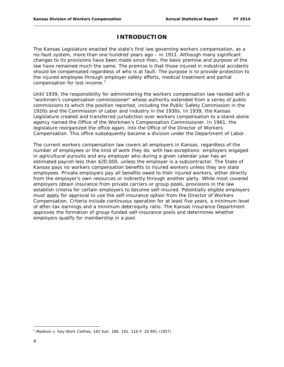# **INTRODUCTION**

The Kansas Legislature enacted the state's first law governing workers compensation, as a no-fault system, more than one hundred years ago – in 1911. Although many significant changes to its provisions have been made since then, the basic premise and purpose of the law have remained much the same. The premise is that those injured in industrial accidents should be compensated regardless of who is at fault. The purpose is to provide protection to the injured employee through employer safety efforts, medical treatment and partial compensation for lost income.<sup>[1](#page-4-0)</sup>

Until 1939, the responsibility for administering the workers compensation law resided with a "workmen's compensation commissioner" whose authority extended from a series of public commissions to which the position reported, including the Public Safety Commission in the 1920s and the Commission of Labor and Industry in the 1930s. In 1939, the Kansas Legislature created and transferred jurisdiction over workers compensation to a stand-alone agency named the Office of the Workmen's Compensation Commissioner. In 1961, the legislature reorganized the office again, into the Office of the Director of Workers Compensation. This office subsequently became a division under the Department of Labor.

The current workers compensation law covers all employers in Kansas, regardless of the number of employees or the kind of work they do, with two exceptions: employers engaged in agricultural pursuits and any employer who during a given calendar year has an estimated payroll less than \$20,000, unless the employer is a subcontractor. The State of Kansas pays no workers compensation benefits to injured workers unless they are state employees. Private employers pay all benefits owed to their injured workers, either directly from the employer's own resources or indirectly through another party. While most covered employers obtain insurance from private carriers or group pools, provisions in the law establish criteria for certain employers to become self-insured. Potentially eligible employers must apply for approval to use the self-insurance option from the Director of Workers Compensation. Criteria include continuous operation for at least five years, a minimum level of after-tax earnings and a minimum debt/equity ratio. The Kansas Insurance Department approves the formation of group-funded self-insurance pools and determines whether employers qualify for membership in a pool.

 $\overline{\phantom{a}}$ 

<span id="page-4-0"></span><sup>1</sup> Madison v. Key Work Clothes, 182 Kan. 186, 192, 318 P. 2d 991 (1957).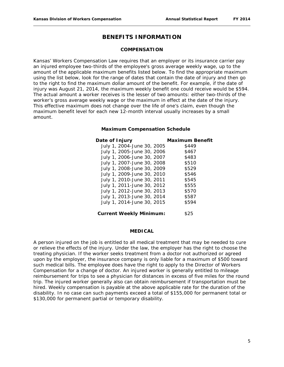# **BENEFITS INFORMATION**

#### **COMPENSATION**

Kansas' Workers Compensation Law requires that an employer or its insurance carrier pay an injured employee two-thirds of the employee's gross average weekly wage, up to the amount of the applicable maximum benefits listed below. To find the appropriate maximum using the list below, look for the range of dates that contain the date of injury and then go to the right to find the maximum dollar amount of the benefit. For example, if the date of injury was August 21, 2014, the maximum weekly benefit one could receive would be \$594. The actual amount a worker receives is the lesser of two amounts: either two-thirds of the worker's gross average weekly wage or the maximum in effect at the date of the injury. This effective maximum does not change over the life of one's claim, even though the maximum benefit level for each new 12-month interval usually increases by a small amount.

#### **Maximum Compensation Schedule**

| Date of Injury                 | <b>Maximum Benefit</b> |
|--------------------------------|------------------------|
| July 1, 2004-June 30, 2005     | \$449                  |
| July 1, 2005-June 30, 2006     | \$467                  |
| July 1, 2006-June 30, 2007     | \$483                  |
| July 1, 2007-June 30, 2008     | \$510                  |
| July 1, 2008-June 30, 2009     | \$529                  |
| July 1, 2009-June 30, 2010     | \$546                  |
| July 1, 2010-June 30, 2011     | \$545                  |
| July 1, 2011-June 30, 2012     | \$555                  |
| July 1, 2012-June 30, 2013     | \$570                  |
| July 1, 2013-June 30, 2014     | \$587                  |
| July 1, 2014-June 30, 2015     | \$594                  |
| <b>Current Weekly Minimum:</b> | \$25                   |

#### **MEDICAL**

A person injured on the job is entitled to all medical treatment that may be needed to cure or relieve the effects of the injury. Under the law, the employer has the right to choose the treating physician. If the worker seeks treatment from a doctor not authorized or agreed upon by the employer, the insurance company is only liable for a maximum of \$500 toward such medical bills. The employee does have the right to apply to the Director of Workers Compensation for a change of doctor. An injured worker is generally entitled to mileage reimbursement for trips to see a physician for distances in excess of five miles for the round trip. The injured worker generally also can obtain reimbursement if transportation must be hired. Weekly compensation is payable at the above applicable rate for the duration of the disability. In no case can such payments exceed a total of \$155,000 for permanent total or \$130,000 for permanent partial or temporary disability.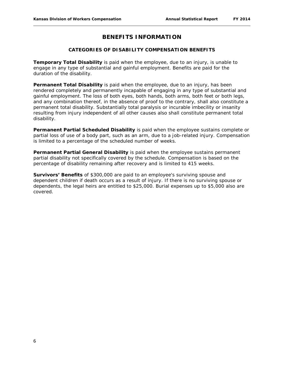# **BENEFITS INFORMATION**

#### **CATEGORIES OF DISABILITY COMPENSATION BENEFITS**

**Temporary Total Disability** is paid when the employee, due to an injury, is unable to engage in any type of substantial and gainful employment. Benefits are paid for the duration of the disability.

**Permanent Total Disability** is paid when the employee, due to an injury, has been rendered completely and permanently incapable of engaging in any type of substantial and gainful employment. The loss of both eyes, both hands, both arms, both feet or both legs, and any combination thereof, in the absence of proof to the contrary, shall also constitute a permanent total disability. Substantially total paralysis or incurable imbecility or insanity resulting from injury independent of all other causes also shall constitute permanent total disability.

**Permanent Partial Scheduled Disability** is paid when the employee sustains complete or partial loss of use of a body part, such as an arm, due to a job-related injury. Compensation is limited to a percentage of the scheduled number of weeks.

**Permanent Partial General Disability** is paid when the employee sustains permanent partial disability not specifically covered by the schedule. Compensation is based on the percentage of disability remaining after recovery and is limited to 415 weeks.

**Survivors' Benefits** of \$300,000 are paid to an employee's surviving spouse and dependent children if death occurs as a result of injury. If there is no surviving spouse or dependents, the legal heirs are entitled to \$25,000. Burial expenses up to \$5,000 also are covered.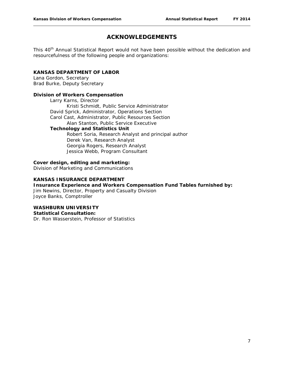# **ACKNOWLEDGEMENTS**

This 40<sup>th</sup> Annual Statistical Report would not have been possible without the dedication and resourcefulness of the following people and organizations:

#### **KANSAS DEPARTMENT OF LABOR**

Lana Gordon, Secretary Brad Burke, Deputy Secretary

#### **Division of Workers Compensation**

Larry Karns, Director Kristi Schmidt, Public Service Administrator David Sprick, Administrator, Operations Section Carol Cast, Administrator, Public Resources Section Alan Stanton, Public Service Executive **Technology and Statistics Unit**

Robert Soria, Research Analyst and principal author Derek Van, Research Analyst Georgia Rogers, Research Analyst Jessica Webb, Program Consultant

#### **Cover design, editing and marketing:**

Division of Marketing and Communications

#### **KANSAS INSURANCE DEPARTMENT**

#### **Insurance Experience and Workers Compensation Fund Tables furnished by:**

Jim Newins, Director, Property and Casualty Division Joyce Banks, Comptroller

#### **WASHBURN UNIVERSITY**

#### **Statistical Consultation:**

Dr. Ron Wasserstein, Professor of Statistics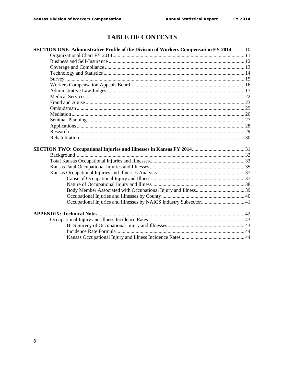# **TABLE OF CONTENTS**

| SECTION ONE: Administrative Profile of the Division of Workers Compensation FY 2014 10 |  |
|----------------------------------------------------------------------------------------|--|
|                                                                                        |  |
|                                                                                        |  |
|                                                                                        |  |
|                                                                                        |  |
|                                                                                        |  |
|                                                                                        |  |
|                                                                                        |  |
|                                                                                        |  |
|                                                                                        |  |
|                                                                                        |  |
|                                                                                        |  |
|                                                                                        |  |
|                                                                                        |  |
|                                                                                        |  |
|                                                                                        |  |
|                                                                                        |  |
|                                                                                        |  |
|                                                                                        |  |
|                                                                                        |  |
|                                                                                        |  |
|                                                                                        |  |
|                                                                                        |  |
|                                                                                        |  |
|                                                                                        |  |
|                                                                                        |  |
|                                                                                        |  |
|                                                                                        |  |
|                                                                                        |  |
|                                                                                        |  |
|                                                                                        |  |
|                                                                                        |  |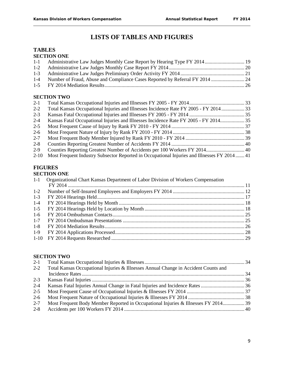# **LISTS OF TABLES AND FIGURES**

#### **TABLES SECTION ONE**

| 1-4 Number of Fraud, Abuse and Compliance Cases Reported by Referral FY 2014 |  |
|------------------------------------------------------------------------------|--|
|                                                                              |  |

#### **SECTION TWO**

| $2 - 1$  |                                                                                            |  |
|----------|--------------------------------------------------------------------------------------------|--|
| $2 - 2$  | Total Kansas Occupational Injuries and Illnesses Incidence Rate FY 2005 - FY 2014  33      |  |
| $2 - 3$  |                                                                                            |  |
| $2 - 4$  | Kansas Fatal Occupational Injuries and Illnesses Incidence Rate FY 2005 - FY 2014 35       |  |
| $2 - 5$  |                                                                                            |  |
| $2 - 6$  |                                                                                            |  |
| $2 - 7$  |                                                                                            |  |
| $2 - 8$  |                                                                                            |  |
| $2 - 9$  |                                                                                            |  |
| $2 - 10$ | Most Frequent Industry Subsector Reported in Occupational Injuries and Illnesses FY 201441 |  |

# **FIGURES**

# **SECTION ONE**

| $1-1$   | Organizational Chart Kansas Department of Labor Division of Workers Compensation |  |
|---------|----------------------------------------------------------------------------------|--|
|         |                                                                                  |  |
| $1-2$   |                                                                                  |  |
| $1-3$   |                                                                                  |  |
| $1 - 4$ |                                                                                  |  |
| $1-5$   |                                                                                  |  |
| $1-6$   |                                                                                  |  |
| $1 - 7$ |                                                                                  |  |
| $1-8$   |                                                                                  |  |
| $1-9$   |                                                                                  |  |
|         |                                                                                  |  |
|         |                                                                                  |  |

#### **SECTION TWO**

| $2 - 1$ |                                                                                     |  |
|---------|-------------------------------------------------------------------------------------|--|
| $2 - 2$ | Total Kansas Occupational Injuries & Illnesses Annual Change in Accident Counts and |  |
|         |                                                                                     |  |
| $2 - 3$ |                                                                                     |  |
| $2 - 4$ |                                                                                     |  |
| $2 - 5$ |                                                                                     |  |
| $2-6$   |                                                                                     |  |
| $2 - 7$ | Most Frequent Body Member Reported in Occupational Injuries & Illnesses FY 2014 39  |  |
| $2 - 8$ |                                                                                     |  |
|         |                                                                                     |  |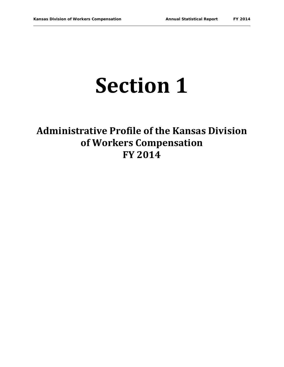# **Section 1**

# **Administrative Profile of the Kansas Division of Workers Compensation FY 2014**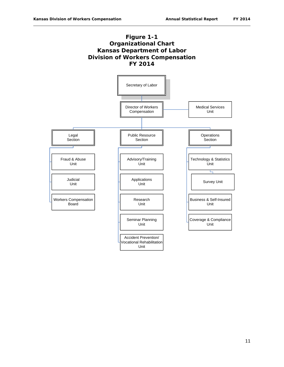

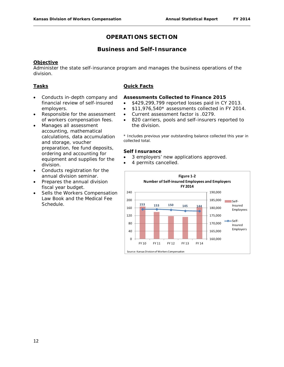# **Business and Self-Insurance**

#### **Objective**

Administer the state self-insurance program and manages the business operations of the division.

#### **Tasks**

- Conducts in-depth company and financial review of self-insured employers.
- Responsible for the assessment of workers compensation fees.
- Manages all assessment accounting, mathematical calculations, data accumulation and storage, voucher preparation, fee fund deposits, ordering and accounting for equipment and supplies for the division.
- Conducts registration for the annual division seminar.
- Prepares the annual division fiscal year budget.
- Sells the Workers Compensation Law Book and the Medical Fee Schedule.

#### **Quick Facts**

#### **Assessments Collected to Finance 2015**

- \$429,299,799 reported losses paid in CY 2013.
- \$11,976,540\* assessments collected in FY 2014.
- Current assessment factor is .0279.
- 820 carriers, pools and self-insurers reported to the division.

\* Includes previous year outstanding balance collected this year in collected total.

#### **Self Insurance**

- 3 employers' new applications approved.
- 4 permits cancelled.

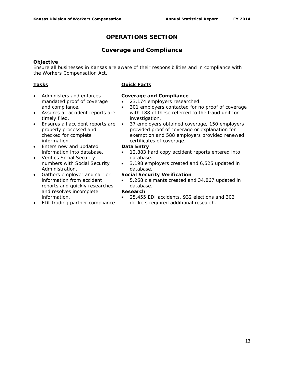# **Coverage and Compliance**

#### **Objective**

Ensure all businesses in Kansas are aware of their responsibilities and in compliance with the Workers Compensation Act.

#### **Tasks**

- Administers and enforces mandated proof of coverage and compliance.
- Assures all accident reports are timely filed.
- Ensures all accident reports are properly processed and checked for complete information.
- Enters new and updated information into database.
- Verifies Social Security numbers with Social Security Administration.
- Gathers employer and carrier information from accident reports and quickly researches and resolves incomplete information.
- EDI trading partner compliance

#### **Quick Facts**

#### **Coverage and Compliance**

- 23,174 employers researched.
- 301 employers contacted for no proof of coverage with 188 of these referred to the fraud unit for investigation.
- 37 employers obtained coverage, 150 employers provided proof of coverage or explanation for exemption and 588 employers provided renewed certificates of coverage.

#### **Data Entry**

- 12,883 hard copy accident reports entered into database.
- 3,198 employers created and 6,525 updated in database.

#### **Social Security Verification**

• 5,268 claimants created and 34,867 updated in database.

#### **Research**

• 25,455 EDI accidents, 932 elections and 302 dockets required additional research.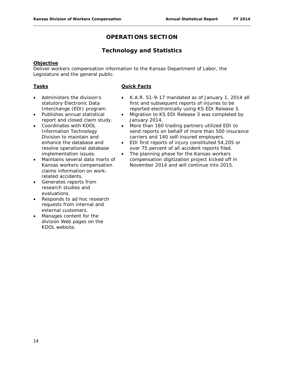# **Technology and Statistics**

#### **Objective**

Deliver workers compensation information to the Kansas Department of Labor, the Legislature and the general public.

#### **Tasks**

- Administers the division's statutory Electronic Data
- Interchange (EDI) program. • Publishes annual statistical report and closed claim study.
- Coordinates with KDOL Information Technology Division to maintain and enhance the database and resolve operational database implementation issues.
- Maintains several data marts of Kansas workers compensation claims information on workrelated accidents.
- Generates reports from research studies and evaluations.
- Responds to ad hoc research requests from internal and external customers.
- Manages content for the division Web pages on the KDOL website.

- K.A.R. 51-9-17 mandated as of January 1, 2014 all first and subsequent reports of injuries to be reported electronically using KS EDI Release 3.
- Migration to KS EDI Release 3 was completed by January 2014.
- More than 160 trading partners utilized EDI to send reports on behalf of more than 500 insurance carriers and 140 self-insured employers.
- EDI first reports of injury constituted 54,205 or over 75 percent of all accident reports filed.
- The planning phase for the Kansas workers compensation digitization project kicked off in November 2014 and will continue into 2015.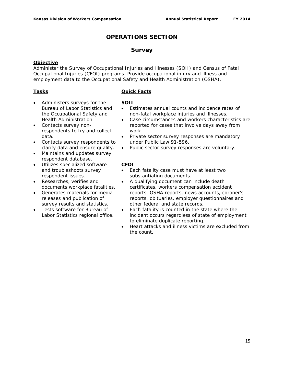### **Survey**

#### **Objective**

Administer the Survey of Occupational Injuries and Illnesses (SOII) and Census of Fatal Occupational Injuries (CFOI) programs. Provide occupational injury and illness and employment data to the Occupational Safety and Health Administration (OSHA).

#### **Tasks**

- Administers surveys for the Bureau of Labor Statistics and the Occupational Safety and Health Administration.
- Contacts survey nonrespondents to try and collect data.
- Contacts survey respondents to clarify data and ensure quality.
- Maintains and updates survey respondent database.
- Utilizes specialized software and troubleshoots survey respondent issues.
- Researches, verifies and documents workplace fatalities.
- Generates materials for media releases and publication of survey results and statistics.
- Tests software for Bureau of Labor Statistics regional office.

#### **Quick Facts**

#### **SOII**

- Estimates annual counts and incidence rates of non-fatal workplace injuries and illnesses.
- Case circumstances and workers characteristics are reported for cases that involve days away from work.
- Private sector survey responses are mandatory under Public Law 91-596.
- Public sector survey responses are voluntary.

#### **CFOI**

- Each fatality case must have at least two substantiating documents.
- A qualifying document can include death certificates, workers compensation accident reports, OSHA reports, news accounts, coroner's reports, obituaries, employer questionnaires and other federal and state records.
- Each fatality is counted in the state where the incident occurs regardless of state of employment to eliminate duplicate reporting.
- Heart attacks and illness victims are excluded from the count.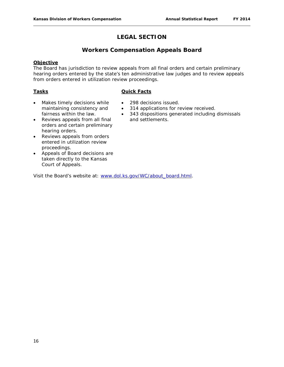# **LEGAL SECTION**

# **Workers Compensation Appeals Board**

#### **Objective**

The Board has jurisdiction to review appeals from all final orders and certain preliminary hearing orders entered by the state's ten administrative law judges and to review appeals from orders entered in utilization review proceedings.

#### **Tasks**

#### **Quick Facts**

- Makes timely decisions while maintaining consistency and fairness within the law.
- 298 decisions issued.
- 314 applications for review received.
- 343 dispositions generated including dismissals and settlements.
- Reviews appeals from all final orders and certain preliminary hearing orders.
- Reviews appeals from orders entered in utilization review proceedings.
- Appeals of Board decisions are taken directly to the Kansas Court of Appeals.

Visit the Board's website at: [www.dol.ks.gov/WC/about\\_board.html.](http://www.dol.ks.gov/WC/about_board.html)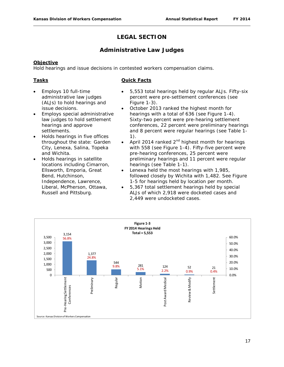# **LEGAL SECTION**

# **Administrative Law Judges**

#### **Objective**

Hold hearings and issue decisions in contested workers compensation claims.

#### **Tasks**

- Employs 10 full-time administrative law judges (ALJs) to hold hearings and issue decisions.
- Employs special administrative law judges to hold settlement hearings and approve settlements.
- Holds hearings in five offices throughout the state: Garden City, Lenexa, Salina, Topeka and Wichita.
- Holds hearings in satellite locations including Cimarron, Ellsworth, Emporia, Great Bend, Hutchinson, Independence, Lawrence, Liberal, McPherson, Ottawa, Russell and Pittsburg.
- 5,553 total hearings held by regular ALJs. Fifty-six percent were pre-settlement conferences (see Figure 1-3).
- October 2013 ranked the highest month for hearings with a total of 636 (see Figure 1-4). Sixty-two percent were pre-hearing settlement conferences, 22 percent were preliminary hearings and 8 percent were regular hearings (see Table 1- 1).
- April 2014 ranked  $2^{nd}$  highest month for hearings with 558 (see Figure 1-4). Fifty-five percent were pre-hearing conferences, 25 percent were preliminary hearings and 11 percent were regular hearings (see Table 1-1).
- Lenexa held the most hearings with 1,985, followed closely by Wichita with 1,482. See Figure 1-5 for hearings held by location per month.
- 5,367 total settlement hearings held by special ALJs of which 2,918 were docketed cases and 2,449 were undocketed cases.

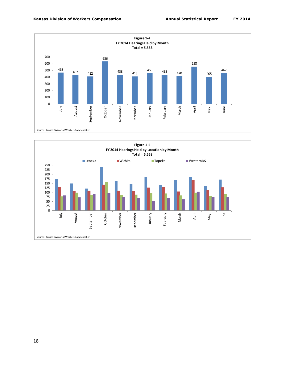

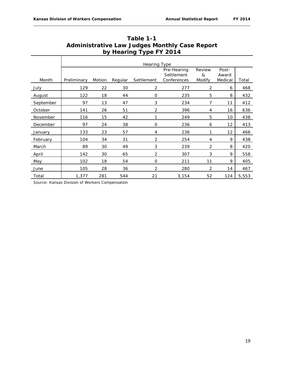|           | <b>Hearing Type</b> |        |         |                |                                          |                       |                           |       |  |  |  |
|-----------|---------------------|--------|---------|----------------|------------------------------------------|-----------------------|---------------------------|-------|--|--|--|
| Month     | Preliminary         | Motion | Regular | Settlement     | Pre-Hearing<br>Settlement<br>Conferences | Review<br>&<br>Modify | Post-<br>Award<br>Medical | Total |  |  |  |
| July      | 129                 | 22     | 30      | 2              | 277                                      | $\overline{2}$        | 6                         | 468   |  |  |  |
| August    | 122                 | 18     | 44      | O              | 235                                      | 5                     | 8                         | 432   |  |  |  |
| September | 97                  | 13     | 47      | 3              | 234                                      | 7                     | 11                        | 412   |  |  |  |
| October   | 141                 | 26     | 51      | $\overline{2}$ | 396                                      | 4                     | 16                        | 636   |  |  |  |
| November  | 116                 | 15     | 42      | 1              | 249                                      | 5                     | 10                        | 438   |  |  |  |
| December  | 97                  | 24     | 38      | $\mathbf{O}$   | 236                                      | 6                     | 12                        | 413   |  |  |  |
| January   | 133                 | 23     | 57      | 4              | 236                                      | 1                     | 12                        | 466   |  |  |  |
| February  | 104                 | 34     | 31      | $\overline{2}$ | 254                                      | 4                     | 9                         | 438   |  |  |  |
| March     | 89                  | 30     | 49      | 3              | 239                                      | 2                     | 8                         | 420   |  |  |  |
| April     | 142                 | 30     | 65      | 2              | 307                                      | 3                     | 9                         | 558   |  |  |  |
| May       | 102                 | 18     | 54      | $\mathbf{O}$   | 211                                      | 11                    | 9                         | 405   |  |  |  |
| June      | 105                 | 28     | 36      | 2              | 280                                      | $\overline{2}$        | 14                        | 467   |  |  |  |
| Total     | 1,377               | 281    | 544     | 21             | 3,154                                    | 52                    | 124                       | 5,553 |  |  |  |

| Table 1-1                                            |
|------------------------------------------------------|
| <b>Administrative Law Judges Monthly Case Report</b> |
| by Hearing Type FY 2014                              |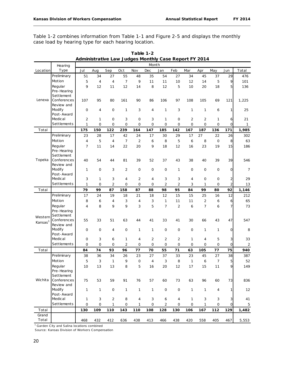Table 1-2 combines information from Table 1-1 and Figure 2-5 and displays the monthly case load by hearing type for each hearing location.

|                     | Hearing                   |                     |              |                |                |                | Month          |                |                |                |                |                |                |                |
|---------------------|---------------------------|---------------------|--------------|----------------|----------------|----------------|----------------|----------------|----------------|----------------|----------------|----------------|----------------|----------------|
| Location            | Type                      | Jul                 | Aug          | Sep            | Oct            | Nov            | Dec            | Jan            | Feb            | Mar            | Apr            | May            | Jun            | Total          |
|                     | Preliminary               | 51                  | 34           | 27             | 55             | 48             | 35             | 54             | 27             | 34             | 45             | 37             | 29             | 476            |
|                     | Motion                    | 5                   | 4            | 4              | $\overline{7}$ | 9              | 11             | 11             | 10             | 12             | 14             | 5              | 9              | 101            |
|                     | Regular                   | 9                   | 12           | 11             | 12             | 14             | 8              | 12             | 5              | 10             | 20             | 18             | 5              | 136            |
|                     | Pre-Hearing               |                     |              |                |                |                |                |                |                |                |                |                |                |                |
|                     | Settlement                |                     |              |                |                |                |                |                |                |                |                |                |                |                |
| Lenexa              | Conferences               | 107                 | 95           | 80             | 161            | 90             | 86             | 106            | 97             | 108            | 105            | 69             | 121            | 1,225          |
|                     | Review and                |                     |              |                |                |                |                |                |                |                |                |                |                |                |
|                     | Modify                    | 0                   | 4            | 0              | 1              | 3              | 4              | 1              | 3              | 1              | 1              | 6              | 1              | 25             |
|                     | Post-Award                |                     |              |                |                |                |                |                |                |                |                |                |                |                |
|                     | Medical                   | $\overline{2}$      | 1            | 0              | 3              | 0              | 3              | 1              | 0              | $\overline{2}$ | 2              | 1              | 6              | 21             |
|                     | Settlements               | $\mathbf{1}$        | $\mathbf{O}$ | $\mathsf{O}$   | 0              | 0              | $\mathbf 0$    | $\mathbf{O}$   | 0              | $\overline{0}$ | O              | $\mathbf{O}$   | 0              | $\mathbf{1}$   |
| Total               |                           | 175                 | 150          | 122            | 239            | 164            | 147            | 185            | 142            | 167            | 187            | 136            | 171            | 1,985          |
|                     | Preliminary               | 23                  | 28           | 17             | 42             | 24             | 17             | 30             | 29             | 17             | 27             | 22             | 26             | 302            |
|                     | Motion                    | 4                   | 5            | $\overline{4}$ | $\overline{7}$ | $\overline{2}$ | 6              | 8              | 5              | 6              | 8              | $\mathsf{O}$   | 8              | 63             |
|                     | Regular                   | 7                   | 11           | 14             | 22             | 20             | 9              | 18             | 12             | 16             | 23             | 19             | 15             | 186            |
|                     | Pre-Hearing               |                     |              |                |                |                |                |                |                |                |                |                |                |                |
|                     | Settlement                |                     |              |                |                |                |                |                |                |                |                |                |                |                |
| Topeka              | Conferences<br>Review and | 40                  | 54           | 44             | 81             | 39             | 52             | 37             | 43             | 38             | 40             | 39             | 39             | 546            |
|                     | Modify                    | 1                   | 0            | 3              | $\overline{2}$ | 0              | $\mathbf 0$    | $\mathbf 0$    | 1              | $\mathbf 0$    | $\mathbf{O}$   | 0              | $\overline{O}$ | 7              |
|                     | Post-Award                |                     |              |                |                |                |                |                |                |                |                |                |                |                |
|                     | Medical                   | 3                   | 1            | 3              | 4              | $\overline{2}$ | 4              | 3              | 3              | 4              | 0              | $\mathbf 0$    | 2              | 29             |
|                     | Settlements               | $\mathbf 1$         | $\mathbf{O}$ | $\overline{2}$ | 0              | 0              | 0              | $\overline{2}$ | 2              | 3              | 1              | $\mathbf 0$    | $\overline{c}$ | 13             |
| Total               |                           | 79                  | 99           | 87             | 158            | 87             | 88             | 98             | 95             | 84             | 99             | 80             | 92             | 1,146          |
|                     | Preliminary               | 17                  | 24           | 19             | 18             | 21             | 18             | 12             | 15             | 15             | 25             | 16             | 12             | 212            |
|                     | Motion                    | 8                   | 6            | 4              | 3              | 4              | 3              | 1              | 11             | 11             | $\overline{2}$ | 6              | 6              | 65             |
|                     | Regular                   | 4                   | 8            | 9              | 9              | 3              | 5              | 7              | $\overline{2}$ | 6              | 7              | 6              | 7              | 73             |
|                     | Pre-Hearing               |                     |              |                |                |                |                |                |                |                |                |                |                |                |
| Western             | Settlement                |                     |              |                |                |                |                |                |                |                |                |                |                |                |
| Kansas <sup>1</sup> | Conferences               | 55                  | 33           | 51             | 63             | 44             | 41             | 33             | 41             | 30             | 66             | 43             | 47             | 547            |
|                     | Review and                |                     |              |                |                |                |                |                |                |                |                |                |                |                |
|                     | Modify                    | 0                   | 0            | 4              | $\mathbf 0$    | 1              | 1              | 0              | $\mathbf 0$    | $\mathbf 0$    | 1              | 1              | 0              | 8              |
|                     | Post-Award                |                     |              |                |                |                |                |                |                |                |                |                |                |                |
|                     | Medical                   | 0                   | 3            | 6              | 1              | 4              | $\overline{2}$ | $\overline{2}$ | 2              | 1              | 4              | 5              | 3              | 33             |
|                     | Settlements               | 0                   | 0            | $\circ$        | $\overline{2}$ | $\mathbf{O}$   | 0              | $\mathbf{O}$   | 0              | $\mathbf{O}$   | 0              | 0              | $\mathsf{O}$   | $\sqrt{2}$     |
| Total               |                           | 84                  | 74           | 93             | 96             | 77             | 70             | 55             | 71             | 63             | 105            | 77             | 75             | 940            |
|                     | Preliminary               | 38                  | 36           | 34             | 26             | 23             | 27             | 37             | 33             | 23             | 45             | 27             | 38             | 387            |
|                     | Motion                    | 5                   | 3            | 1              | 9              | $\mathbf 0$    | $\overline{4}$ | 3              | 8              | $\mathbf{1}$   | 6              | $\overline{7}$ | 5              | 52             |
|                     | Regular                   | 10                  | 13           | 13             | 8              | 5              | 16             | 20             | 12             | 17             | 15             | 11             | $\mathcal{P}$  | 149            |
|                     | Pre-Hearing               |                     |              |                |                |                |                |                |                |                |                |                |                |                |
| Wichita             | Settlement<br>Conferences |                     |              |                |                |                |                |                |                |                |                |                |                |                |
|                     | Review and                | 75                  | 53           | 59             | 91             | 76             | 57             | 60             | 73             | 63             | 96             | 60             | 73             | 836            |
|                     | Modify                    | $\mathbf{1}$        | 1            | $\mathbf 0$    | $\mathbf{1}$   | 1              | $\mathbf{1}$   | 0              | $\mathsf{O}$   | $\mathbf{1}$   | 1              | 4              | 1              | 12             |
|                     | Post-Award                |                     |              |                |                |                |                |                |                |                |                |                |                |                |
|                     | Medical                   | $\mathbf{1}$        | 3            | $\overline{c}$ | 8              | 4              | 3              | 6              | 4              | $\mathbf{1}$   | 3              | 3              | 3              | 41             |
|                     | Settlements               | $\mathsf{O}\xspace$ | $\mathsf O$  | $\mathbf{1}$   | 0              | $\mathbf{1}$   | 0              | $\overline{2}$ | $\mathsf O$    | $\mathbf 0$    | 1              | 0              | 0              | $\overline{5}$ |
| Total               |                           | 130                 | 109          | 110            | 143            | 110            | 108            | 128            | 130            | 106            | 167            | 112            | 129            | 1,482          |
| Grand               |                           |                     |              |                |                |                |                |                |                |                |                |                |                |                |
| Total               |                           | 468                 | 432          | 412            | 636            | 438            | 413            | 466            | 438            | 420            | 558            | 405            | 467            | 5,553          |

**Table 1-2 Administrative Law Judges Monthly Case Report FY 2014**

<sup>1</sup> Garden City and Salina locations combined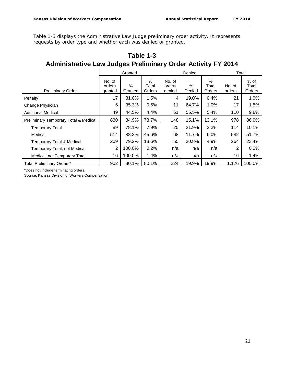Table 1-3 displays the Administrative Law Judge preliminary order activity. It represents requests by order type and whether each was denied or granted.

| Administrative Law Judges Preliminary Order Activity FT 2014 |                             |                 |                         |                            |                |                         |                  |                         |
|--------------------------------------------------------------|-----------------------------|-----------------|-------------------------|----------------------------|----------------|-------------------------|------------------|-------------------------|
|                                                              | Granted                     |                 |                         |                            | Denied         | Total                   |                  |                         |
| <b>Preliminary Order</b>                                     | No. of<br>orders<br>granted | $\%$<br>Granted | $\%$<br>Total<br>Orders | No. of<br>orders<br>denied | $\%$<br>Denied | $\%$<br>Total<br>Orders | No. of<br>orders | % of<br>Total<br>Orders |
| Penalty                                                      | 17                          | 81.0%           | 1.5%                    | 4                          | 19.0%          | 0.4%                    | 21               | 1.9%                    |
| Change Physician                                             | 6                           | 35.3%           | 0.5%                    | 11                         | 64.7%          | 1.0%                    | 17               | 1.5%                    |
| <b>Additional Medical</b>                                    | 49                          | 44.5%           | 4.4%                    | 61                         | 55.5%          | 5.4%                    | 110              | 9.8%                    |
| Preliminary Temporary Total & Medical                        | 830                         | 84.9%           | 73.7%                   | 148                        | 15.1%          | 13.1%                   | 978              | 86.9%                   |
| <b>Temporary Total</b>                                       | 89                          | 78.1%           | 7.9%                    | 25                         | 21.9%          | 2.2%                    | 114              | 10.1%                   |
| Medical                                                      | 514                         | 88.3%           | 45.6%                   | 68                         | 11.7%          | 6.0%                    | 582              | 51.7%                   |
| <b>Temporary Total &amp; Medical</b>                         | 209                         | 79.2%           | 18.6%                   | 55                         | 20.8%          | 4.9%                    | 264              | 23.4%                   |
| Temporary Total, not Medical                                 | $\overline{2}$              | 100.0%          | 0.2%                    | n/a                        | n/a            | n/a                     | 2                | 0.2%                    |
| Medical, not Temporary Total                                 | 16                          | 100.0%          | 1.4%                    | n/a                        | n/a            | n/a                     | 16               | 1.4%                    |
| <b>Total Preliminary Orders*</b>                             | 902                         | 80.1%           | 80.1%                   | 224                        | 19.9%          | 19.9%                   | 1,126            | 100.0%                  |

# **Table 1-3 Administrative Law Judges Preliminary Order Activity FY 2014**

\*Does not include terminating orders.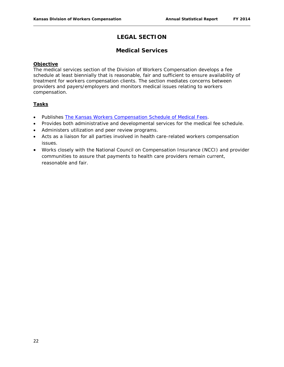# **LEGAL SECTION**

# **Medical Services**

#### **Objective**

The medical services section of the Division of Workers Compensation develops a fee schedule at least biennially that is reasonable, fair and sufficient to ensure availability of treatment for workers compensation clients. The section mediates concerns between providers and payers/employers and monitors medical issues relating to workers compensation.

#### **Tasks**

- Publishes *[The Kansas Workers Compensation Schedule of Medical Fees](http://www.dol.ks.gov/Files/PDF/KWC300.pdf)*.
- Provides both administrative and developmental services for the medical fee schedule.
- Administers utilization and peer review programs.
- Acts as a liaison for all parties involved in health care-related workers compensation issues.
- Works closely with the National Council on Compensation Insurance (NCCI) and provider communities to assure that payments to health care providers remain current, reasonable and fair.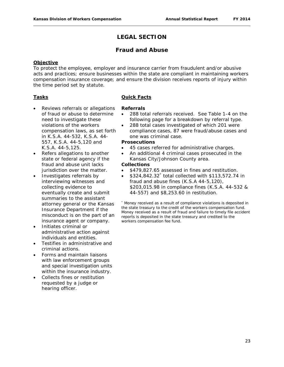# **LEGAL SECTION**

### **Fraud and Abuse**

#### **Objective**

To protect the employee, employer and insurance carrier from fraudulent and/or abusive acts and practices; ensure businesses within the state are compliant in maintaining workers compensation insurance coverage; and ensure the division receives reports of injury within the time period set by statute.

#### **Tasks**

- Reviews referrals or allegations of fraud or abuse to determine need to investigate these violations of the workers compensation laws, as set forth in K.S.A. 44-532, K.S.A. 44- 557, K.S.A. 44-5,120 and K.S.A. 44-5,125.
- Refers allegations to another state or federal agency if the fraud and abuse unit lacks jurisdiction over the matter.
- Investigates referrals by interviewing witnesses and collecting evidence to eventually create and submit summaries to the assistant attorney general or the Kansas Insurance Department if the misconduct is on the part of an insurance agent or company.
- Initiates criminal or administrative action against individuals and entities.
- Testifies in administrative and criminal actions.
- Forms and maintain liaisons with law enforcement groups and special investigation units within the insurance industry.
- Collects fines or restitution requested by a judge or hearing officer.

#### **Quick Facts**

#### **Referrals**

- 288 total referrals received. See Table 1-4 on the following page for a breakdown by referral type.
- 288 total cases investigated of which 201 were compliance cases, 87 were fraud/abuse cases and one was criminal case.

#### **Prosecutions**

- 45 cases referred for administrative charges.
- An additional 4 criminal cases prosecuted in the Kansas City/Johnson County area.

#### **Collections**

- \$479,827.65 assessed in fines and restitution.
- \$324,842.32\* total collected with \$113,572.74 in fraud and abuse fines (K.S.A 44-5,120), \$203,015.98 in compliance fines (K.S.A. 44-532 & 44-557) and \$8,253.60 in restitution.

\* Money received as a result of compliance violations is deposited in the state treasury to the credit of the workers compensation fund. Money received as a result of fraud and failure to timely file accident reports is deposited in the state treasury and credited to the workers compensation fee fund.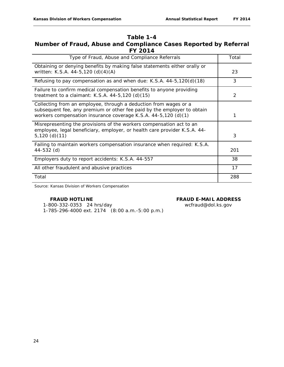# **Table 1-4 Number of Fraud, Abuse and Compliance Cases Reported by Referral FY 2014**

| Type of Fraud, Abuse and Compliance Referrals                                                                                                                                                                 | Total |
|---------------------------------------------------------------------------------------------------------------------------------------------------------------------------------------------------------------|-------|
| Obtaining or denying benefits by making false statements either orally or<br>written: K.S.A. 44-5,120 (d)(4)(A)                                                                                               | 23    |
| Refusing to pay compensation as and when due: K.S.A. $44-5,120(d)(18)$                                                                                                                                        | 3     |
| Failure to confirm medical compensation benefits to anyone providing<br>treatment to a claimant: K.S.A. $44-5,120$ (d) $(15)$                                                                                 | 2     |
| Collecting from an employee, through a deduction from wages or a<br>subsequent fee, any premium or other fee paid by the employer to obtain<br>workers compensation insurance coverage K.S.A. 44-5,120 (d)(1) | 1     |
| Misrepresenting the provisions of the workers compensation act to an<br>employee, legal beneficiary, employer, or health care provider K.S.A. 44-<br>$5,120$ (d)(11)                                          | 3     |
| Failing to maintain workers compensation insurance when required: K.S.A.<br>44-532 (d)                                                                                                                        | 201   |
| Employers duty to report accidents: K.S.A. 44-557                                                                                                                                                             | 38    |
| All other fraudulent and abusive practices                                                                                                                                                                    | 17    |
| Total                                                                                                                                                                                                         | 288   |

Source: Kansas Division of Workers Compensation

#### **FRAUD HOTLINE FRAUD E-MAIL ADDRESS**

 1-800-332-0353 24 hrs/day wcfraud@dol.ks.gov 1-785-296-4000 ext. 2174 (8:00 a.m.-5:00 p.m.)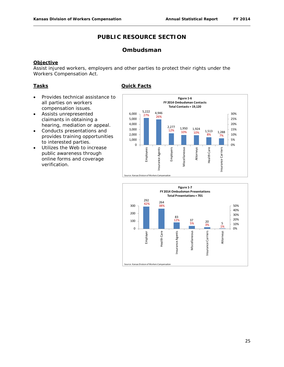# **Ombudsman**

#### **Objective**

Assist injured workers, employers and other parties to protect their rights under the Workers Compensation Act.

#### **Tasks**

- Provides technical assistance to all parties on workers compensation issues.
- Assists unrepresented claimants in obtaining a hearing, mediation or appeal.
- Conducts presentations and provides training opportunities to interested parties.
- Utilizes the Web to increase public awareness through online forms and coverage verification.





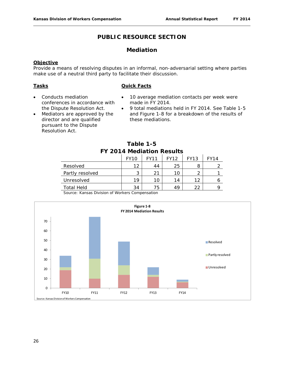# **Mediation**

#### **Objective**

Provide a means of resolving disputes in an informal, non-adversarial setting where parties make use of a neutral third party to facilitate their discussion.

#### **Tasks**

#### **Quick Facts**

- Conducts mediation conferences in accordance with the Dispute Resolution Act.
- Mediators are approved by the director and are qualified pursuant to the Dispute Resolution Act.
- 10 average mediation contacts per week were made in FY 2014.
- 9 total mediations held in FY 2014. See Table 1-5 and Figure 1-8 for a breakdown of the results of these mediations.

| Table 1-5                 |  |
|---------------------------|--|
| FY 2014 Mediation Results |  |

|                   | <b>FY10</b> | <b>FY11</b> | <b>FY12</b> | FY13 | FY14 |
|-------------------|-------------|-------------|-------------|------|------|
| Resolved          | 12          | 44          | 25          | 8    |      |
| Partly resolved   | ว           | 21          | 10          |      |      |
| Unresolved        | 19          | 10          | 14          | 1つ   |      |
| <b>Total Held</b> | 34          | 75          | 49          | າາ   |      |

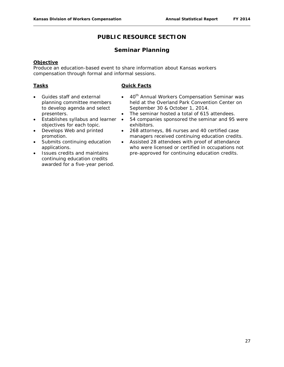# **Seminar Planning**

#### **Objective**

Produce an education-based event to share information about Kansas workers compensation through formal and informal sessions.

#### **Tasks**

- Guides staff and external planning committee members to develop agenda and select presenters.
- Establishes syllabus and learner objectives for each topic.
- Develops Web and printed promotion.
- Submits continuing education applications.
- Issues credits and maintains continuing education credits awarded for a five-year period.
- 40<sup>th</sup> Annual Workers Compensation Seminar was held at the Overland Park Convention Center on September 30 & October 1, 2014.
- The seminar hosted a total of 615 attendees.
- 54 companies sponsored the seminar and 95 were exhibitors.
- 268 attorneys, 86 nurses and 40 certified case managers received continuing education credits.
- Assisted 28 attendees with proof of attendance who were licensed or certified in occupations not pre-approved for continuing education credits.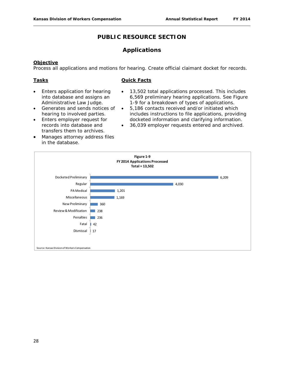### **Applications**

#### **Objective**

Process all applications and motions for hearing. Create official claimant docket for records.

#### **Tasks**

- Enters application for hearing into database and assigns an Administrative Law Judge.
- Generates and sends notices of hearing to involved parties.
- Enters employer request for records into database and transfers them to archives.
- Manages attorney address files in the database.
- 13,502 total applications processed. This includes 6,569 preliminary hearing applications. See Figure 1-9 for a breakdown of types of applications.
- 5,186 contacts received and/or initiated which includes instructions to file applications, providing docketed information and clarifying information.
- 36,039 employer requests entered and archived.

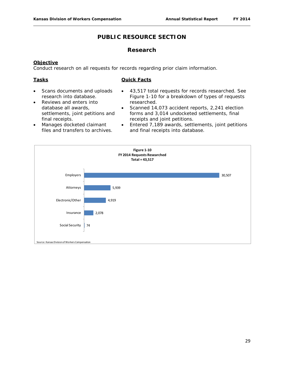#### **Research**

#### **Objective**

Conduct research on all requests for records regarding prior claim information.

#### **Tasks**

- Scans documents and uploads research into database.
- Reviews and enters into database all awards, settlements, joint petitions and final receipts.
- 43,517 total requests for records researched. See Figure 1-10 for a breakdown of types of requests researched.
- Scanned 14,073 accident reports, 2,241 election forms and 3,014 undocketed settlements, final receipts and joint petitions.
- Manages docketed claimant files and transfers to archives.
- Entered 7,189 awards, settlements, joint petitions and final receipts into database.

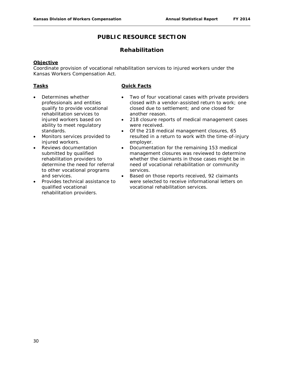# **Rehabilitation**

#### **Objective**

Coordinate provision of vocational rehabilitation services to injured workers under the Kansas Workers Compensation Act.

#### **Tasks**

- Determines whether professionals and entities qualify to provide vocational rehabilitation services to injured workers based on ability to meet regulatory standards.
- Monitors services provided to injured workers.
- Reviews documentation submitted by qualified rehabilitation providers to determine the need for referral to other vocational programs and services.
- Provides technical assistance to qualified vocational rehabilitation providers.

- Two of four vocational cases with private providers closed with a vendor-assisted return to work; one closed due to settlement; and one closed for another reason.
- 218 closure reports of medical management cases were received.
- Of the 218 medical management closures, 65 resulted in a return to work with the time-of-injury employer.
- Documentation for the remaining 153 medical management closures was reviewed to determine whether the claimants in those cases might be in need of vocational rehabilitation or community services.
- Based on those reports received, 92 claimants were selected to receive informational letters on vocational rehabilitation services.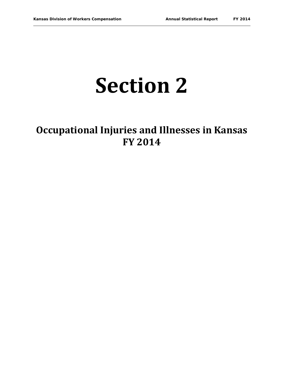# **Section 2**

# **Occupational Injuries and Illnesses in Kansas FY 2014**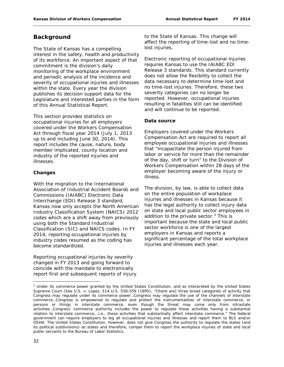# **Background**

The State of Kansas has a compelling interest in the safety, health and productivity of its workforce. An important aspect of that commitment is the division's daily monitoring of the workplace environment and periodic analysis of the incidence and severity of occupational injuries and illnesses within the state. Every year the division publishes its decision support data for the Legislature and interested parties in the form of this *Annual Statistical Report*.

This section provides statistics on occupational injuries for all employers covered under the Workers Compensation Act through fiscal year 2014 (July 1, 2013 up to and including June 30, 2014). This report includes the cause, nature, body member implicated, county location and industry of the reported injuries and illnesses.

#### **Changes**

With the migration to the International Association of Industrial Accident Boards and Commissions (IAIABC) Electronic Data Interchange (EDI) Release 3 standard, Kansas now only accepts the North American Industry Classification System (NAICS) 2012 codes which are a shift away from previously using both the Standard Industrial Classification (SIC) and NAICS codes. In FY 2014, reporting occupational injuries by industry codes resumed as the coding has become standardized.

Reporting occupational injuries by severity changed in FY 2013 and going forward to coincide with the mandate to electronically report first and subsequent reports of injury to the State of Kansas. This change will affect the reporting of time-lost and no timelost injuries.

Electronic reporting of occupational injuries requires Kansas to use the IAIABC EDI Release 3 standards. This standard currently does not allow the flexibility to collect the data necessary to determine time-lost and no time-lost injuries. Therefore, these two severity categories can no longer be reported. However, occupational injuries resulting in fatalities still can be identified and will continue to be reported.

#### **Data source**

Employers covered under the Workers Compensation Act are required to report all employee occupational injuries and illnesses that "incapacitate the person injured from labor or service for more than the remainder of the day, shift or turn" to the Division of Workers Compensation within 28 days of the employer becoming aware of the injury or illness.

The division, by law, is able to collect data on the entire population of workplace injuries and illnesses in Kansas because it has the legal authority to collect injury data on state and local public sector employees in addition to the private sector. $<sup>2</sup>$  $<sup>2</sup>$  $<sup>2</sup>$  This is</sup> important because the state and local public sector workforce is one of the largest employers in Kansas and reports a significant percentage of the total workplace injuries and illnesses each year.

<span id="page-32-0"></span> $\overline{\phantom{a}}$  $<sup>2</sup>$  Under its commerce power granted by the United States Constitution, and as interpreted by the United States</sup> Supreme Court (See *U.S.* v. *Lopez*, 514 U.S. 558-559 (1995); "[there are] three broad categories of activity that Congress may regulate under its commerce power…Congress may regulate the use of the channels of interstate commerce…Congress is empowered to regulate and protect the instrumentalities of interstate commerce, or persons or things in interstate commerce, even though the threat may come only from intrastate activities…Congress' commerce authority includes the power to regulate those activities having a substantial relation to interstate commerce,…i.e., those activities that substantially affect interstate commerce." The federal government can require employers to log all occupational injuries and illnesses and report them to BLS and/or OSHA. The United States Constitution, however, does not give Congress the authority to regulate the states (and its political subdivisions) as states and therefore, compel them to report the workplace injuries of state and local public servants to the Bureau of Labor Statistics.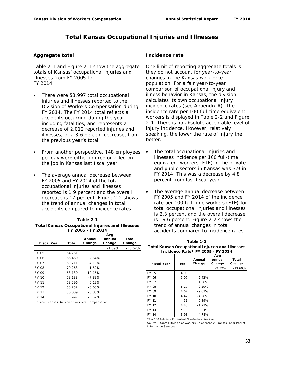# **Total Kansas Occupational Injuries and Illnesses**

#### **Aggregate total**

Table 2-1 and Figure 2-1 show the aggregate totals of Kansas' occupational injuries and illnesses from FY 2005 to FY 2014.

- There were 53,997 total occupational injuries and illnesses reported to the Division of Workers Compensation during FY 2014. The FY 2014 total reflects all accidents occurring during the year, including fatalities, and represents a decrease of 2,012 reported injuries and illnesses, or a 3.6 percent decrease, from the previous year's total.
- From another perspective, 148 employees per day were either injured or killed on the job in Kansas last fiscal year.
- The average annual decrease between FY 2005 and FY 2014 of the total occupational injuries and illnesses reported is 1.9 percent and the overall decrease is 17 percent. Figure 2-2 shows the trend of annual changes in total accidents compared to incidence rates.

| Table 2-1                                               |
|---------------------------------------------------------|
| <b>Total Kansas Occupational Injuries and Illnesses</b> |
| FY 2005 - FY 2014                                       |

|                                                  |        | Annual    | Avg<br>Annual | Total     |
|--------------------------------------------------|--------|-----------|---------------|-----------|
| <b>Fiscal Year</b>                               | Total  | Change    | Change        | Change    |
|                                                  |        |           | $-1.89%$      | $-16.62%$ |
| FY 05                                            | 64,761 |           |               |           |
| FY 06                                            | 66.469 | 2.64%     |               |           |
| <b>FY 07</b>                                     | 69.211 | 4.13%     |               |           |
| <b>FY 08</b>                                     | 70,263 | 1.52%     |               |           |
| FY 09                                            | 63.130 | $-10.15%$ |               |           |
| FY 10                                            | 58.188 | $-7.83%$  |               |           |
| FY 11                                            | 58.296 | 0.19%     |               |           |
| FY 12                                            | 58.252 | $-0.08%$  |               |           |
| FY 13                                            | 56.009 | $-3.85%$  |               |           |
| FY 14                                            | 53.997 | $-3.59%$  |               |           |
| Coursey, Kansas Division of Warkers Compansation |        |           |               |           |

Source: Kansas Division of Workers Compensation

#### **Incidence rate**

One limit of reporting aggregate totals is they do not account for year-to-year changes in the Kansas workforce population. For a fair year-to-year comparison of occupational injury and illness behavior in Kansas, the division calculates its own occupational injury incidence rates (see Appendix A). The incidence rate per 100 full-time equivalent workers is displayed in Table 2-2 and Figure 2-1. There is no absolute acceptable level of injury incidence. However, relatively speaking, the lower the rate of injury the better.

- The total occupational injuries and illnesses incidence per 100 full-time equivalent workers (FTE) in the private and public sectors in Kansas was 3.9 in FY 2014. This was a decrease by 4.8 percent from last fiscal year.
- The average annual decrease between FY 2005 and FY 2014 of the incidence rate per 100 full-time workers (FTE) for total occupational injuries and illnesses is 2.3 percent and the overall decrease is 19.6 percent. Figure 2-2 shows the trend of annual changes in total accidents compared to incidence rates.

| Table 2-2                                               |
|---------------------------------------------------------|
| <b>Total Kansas Occupational Injuries and Illnesses</b> |
| Incidence Rate* FY 2005 - FY 2014                       |

|                    |       | Annual    | Avg<br>Annual | Total     |
|--------------------|-------|-----------|---------------|-----------|
| <b>Fiscal Year</b> | Total | Change    | Change        | Change    |
|                    |       |           | $-2.32%$      | $-19.60%$ |
| FY 05              | 4.95  |           |               |           |
| FY 06              | 5.07  | 2.42%     |               |           |
| <b>FY 07</b>       | 5.15  | 1.58%     |               |           |
| <b>FY 08</b>       | 5.17  | 0.39%     |               |           |
| FY 09              | 4.67  | $-9.67\%$ |               |           |
| FY 10              | 4.47  | $-4.28%$  |               |           |
| FY 11              | 4.51  | 0.89%     |               |           |
| FY 12              | 4.43  | $-1.77%$  |               |           |
| FY 13              | 4.18  | $-5.64%$  |               |           |
| FY 14              | 3.98  | $-4.78%$  |               |           |

\*Per 100 Full-time Equivalent Non-Federal Workers

Source: Kansas Division of Workers Compensation, Kansas Labor Market Information Services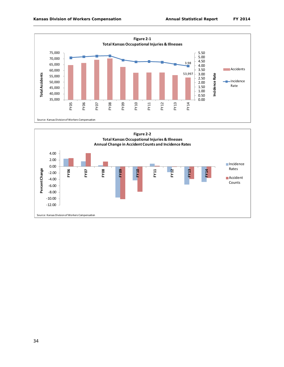

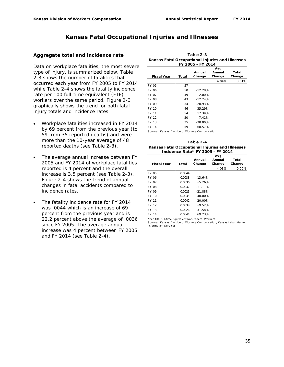# **Kansas Fatal Occupational Injuries and Illnesses**

#### **Aggregate total and incidence rate**

Data on workplace fatalities, the most severe type of injury, is summarized below. Table 2-3 shows the number of fatalities that occurred each year from FY 2005 to FY 2014 while Table 2-4 shows the fatality incidence rate per 100 full-time equivalent (FTE) workers over the same period. Figure 2-3 graphically shows the trend for both fatal injury totals and incidence rates.

- Workplace fatalities increased in FY 2014 by 69 percent from the previous year (to 59 from 35 reported deaths) and were more than the 10-year average of 48 reported deaths (see Table 2-3).
- The average annual increase between FY 2005 and FY 2014 of workplace fatalities reported is 4 percent and the overall increase is 3.5 percent (see Table 2-3). Figure 2-4 shows the trend of annual changes in fatal accidents compared to incidence rates.
- The fatality incidence rate for FY 2014 was .0044 which is an increase of 69 percent from the previous year and is 22.2 percent above the average of .0036 since FY 2005. The average annual increase was 4 percent between FY 2005 and FY 2014 (see Table 2-4).

| FY 2005 - FY 2014  |       |                  |                         |                 |
|--------------------|-------|------------------|-------------------------|-----------------|
| <b>Fiscal Year</b> | Total | Annual<br>Change | Avg<br>Annual<br>Change | Total<br>Change |
|                    |       |                  | 4.04%                   | 3.51%           |
| FY 05              | 57    |                  |                         |                 |
| <b>FY 06</b>       | 50    | $-12.28%$        |                         |                 |
| FY 07              | 49    | $-2.00%$         |                         |                 |
| <b>FY 08</b>       | 43    | $-12.24%$        |                         |                 |
| <b>FY 09</b>       | 34    | $-20.93%$        |                         |                 |
| FY 10              | 46    | 35.29%           |                         |                 |
| FY 11              | 54    | 17.39%           |                         |                 |
| FY 12              | 50    | $-7.41%$         |                         |                 |
| FY 13              | 35    | $-30.00%$        |                         |                 |
| FY 14              | 59    | 68.57%           |                         |                 |

**Table 2-3 Kansas Fatal Occupational Injuries and Illnesses** 

Source: Kansas Division of Workers Compensation

**Kansas Fatal Occupational Injuries and Illnesses Incidence Rate\* FY 2005 - FY 2014 Table 2-4**

|                    |        |           | Avg    |        |
|--------------------|--------|-----------|--------|--------|
|                    |        | Annual    | Annual | Total  |
| <b>Fiscal Year</b> | Total  | Change    | Change | Change |
|                    |        |           | 4.03%  | 0.00%  |
| <b>FY 05</b>       | 0.0044 |           |        |        |
| FY 06              | 0.0038 | $-13.64%$ |        |        |
| FY 07              | 0.0036 | $-5.26%$  |        |        |
| <b>FY 08</b>       | 0.0032 | $-11.11%$ |        |        |
| FY 09              | 0.0025 | $-21.88%$ |        |        |
| FY 10              | 0.0035 | 40.00%    |        |        |
| FY 11              | 0.0042 | 20.00%    |        |        |
| FY 12              | 0.0038 | $-9.52%$  |        |        |
| FY 13              | 0.0026 | $-31.58%$ |        |        |
| FY 14              | 0.0044 | 69.23%    |        |        |
|                    |        |           |        |        |

\*Per 100 Full-time Equivalent Non-Federal Workers Source: Kansas Division of Workers Compensation, Kansas Labor Market Information Services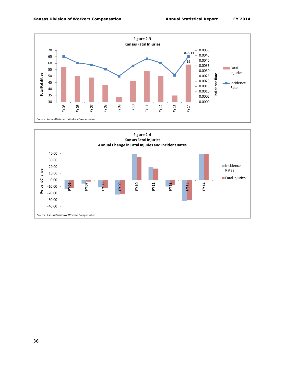

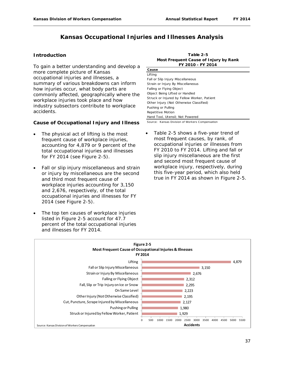# **Kansas Occupational Injuries and Illnesses Analysis**

#### **Introduction**

To gain a better understanding and develop a more complete picture of Kansas occupational injuries and illnesses, a summary of various breakdowns can inform how injuries occur, what body parts are commonly affected, geographically where the workplace injuries took place and how industry subsectors contribute to workplace accidents.

#### **Cause of Occupational Injury and Illness**

- The physical act of lifting is the most frequent cause of workplace injuries, accounting for 4,879 or 9 percent of the total occupational injuries and illnesses for FY 2014 (see Figure 2-5).
- Fall or slip injury miscellaneous and strain or injury by miscellaneous are the second and third most frequent cause of workplace injuries accounting for 3,150 and 2,676, respectively, of the total occupational injuries and illnesses for FY 2014 (see Figure 2-5).
- The top ten causes of workplace injuries listed in Figure 2-5 account for 47.7 percent of the total occupational injuries and illnesses for FY 2014.

| Table 2-5                             |
|---------------------------------------|
| Most Frequent Cause of Injury by Rank |
| FY 2010 - FY 2014                     |

| . . 2010 2017                               |
|---------------------------------------------|
| Cause                                       |
| Lifting                                     |
| Fall or Slip Injury Miscellaneous           |
| Strain or Injury By Miscellaneous           |
| Falling or Flying Object                    |
| Object Being Lifted or Handled              |
| Struck or Injured by Fellow Worker, Patient |
| Other Injury (Not Otherwise Classified)     |
| Pushing or Pulling                          |
| Repetitive Motion                           |
| Hand Tool, Utensil: Not Powered             |
|                                             |

Source: Kansas Division of Workers Compensation

Table 2-5 shows a five-year trend of most frequent causes, by rank, of occupational injuries or illnesses from FY 2010 to FY 2014. Lifting and fall or slip injury miscellaneous are the first and second most frequent cause of workplace injury, respectively, during this five-year period, which also held true in FY 2014 as shown in Figure 2-5.

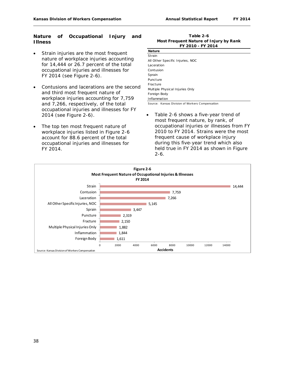#### **Nature of Occupational Injury and Illness**

- Strain injuries are the most frequent nature of workplace injuries accounting for 14,444 or 26.7 percent of the total occupational injuries and illnesses for FY 2014 (see Figure 2-6).
- Contusions and lacerations are the second and third most frequent nature of workplace injuries accounting for 7,759 and 7,266, respectively, of the total occupational injuries and illnesses for FY 2014 (see Figure 2-6).
- The top ten most frequent nature of workplace injuries listed in Figure 2-6 account for 88.6 percent of the total occupational injuries and illnesses for FY 2014.

#### **Table 2-6 Most Frequent Nature of Injury by Rank FY 2010 - FY 2014**

| <b>Nature</b>                    |
|----------------------------------|
| Strain                           |
| All Other Specific Injuries, NOC |
| Laceration                       |
| Contusion                        |
| Sprain                           |
| Puncture                         |
| Fracture                         |
| Multiple Physical Injuries Only  |
| Foreign Body                     |
| Inflammation                     |

Source: Kansas Division of Workers Compensation

• Table 2-6 shows a five-year trend of most frequent nature, by rank, of occupational injuries or illnesses from FY 2010 to FY 2014. Strains were the most frequent cause of workplace injury during this five-year trend which also held true in FY 2014 as shown in Figure  $2 - 6$ .

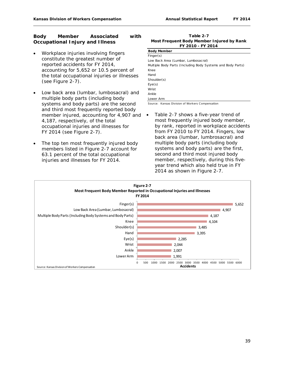#### **Body Member Associated with Occupational Injury and Illness**

- Workplace injuries involving fingers constitute the greatest number of reported accidents for FY 2014, accounting for 5,652 or 10.5 percent of the total occupational injuries or illnesses (see Figure 2-7).
- Low back area (lumbar, lumbosacral) and multiple body parts (including body systems and body parts) are the second and third most frequently reported body member injured, accounting for 4,907 and 4,187, respectively, of the total occupational injuries and illnesses for FY 2014 (see Figure 2-7).
- The top ten most frequently injured body members listed in Figure 2-7 account for 63.1 percent of the total occupational injuries and illnesses for FY 2014.

**Table 2-7 FY 2010 - FY 2014 Most Frequent Body Member Injured by Rank**

| <b>Body Member</b>                                          |
|-------------------------------------------------------------|
| Finance(s)                                                  |
| Low Back Area (Lumbar, Lumbosacral)                         |
| Multiple Body Parts (Including Body Systems and Body Parts) |
| Knee                                                        |
| Hand                                                        |
| Shoulder(s)                                                 |
| Eye(s)                                                      |
| Wrist                                                       |
| Ankle                                                       |
| Lower Arm                                                   |

Source: Kansas Division of Workers Compensation

Table 2-7 shows a five-year trend of most frequently injured body member, by rank, reported in workplace accidents from FY 2010 to FY 2014. Fingers, low back area (lumbar, lumbrosacral) and multiple body parts (including body systems and body parts) are the first, second and third most injured body member, respectively, during this fiveyear trend which also held true in FY 2014 as shown in Figure 2-7.

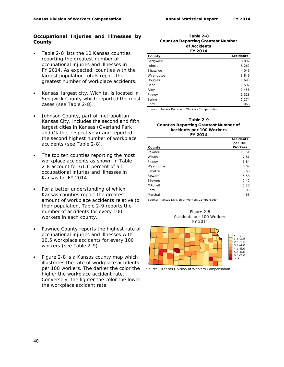#### **Occupational Injuries and Illnesses by County**

- Table 2-8 lists the 10 Kansas counties reporting the greatest number of occupational injuries and illnesses in FY 2014. As expected, counties with the largest population totals report the greatest number of workplace accidents.
- Kansas' largest city, Wichita, is located in Sedgwick County which reported the most cases (see Table 2-8).
- Johnson County, part of metropolitan Kansas City, includes the second and fifth largest cities in Kansas (Overland Park and Olathe, respectively) and reported the second highest number of workplace accidents (see Table 2-8).
- The top ten counties reporting the most workplace accidents as shown in Table 2-8 account for 61.6 percent of all occupational injuries and illnesses in Kansas for FY 2014.
- For a better understanding of which Kansas counties report the greatest amount of workplace accidents relative to their population, Table 2-9 reports the number of accidents for every 100 workers in each county.
- Pawnee County reports the highest rate of occupational injuries and illnesses with 10.5 workplace accidents for every 100 workers (see Table 2-9).
- Figure 2-8 is a Kansas county map which illustrates the rate of workplace accidents per 100 workers. The darker the color the higher the workplace accident rate. Conversely, the lighter the color the lower the workplace accident rate.

#### **Table 2-8 of Accidents FY 2014 Counties Reporting Greatest Number**

| FI 4014   |                  |  |
|-----------|------------------|--|
| County    | <b>Accidents</b> |  |
| Sedgwick  | 8,897            |  |
| Johnson   | 8,262            |  |
| Shawnee   | 4,046            |  |
| Wyandotte | 3,849            |  |
| Douglas   | 1,695            |  |
| Reno      | 1,507            |  |
| Riley     | 1,456            |  |
| Finney    | 1,318            |  |
| Saline    | 1,274            |  |
| Ford      | 965              |  |

Source: Kansas Division of Workers Compensation

#### **Table 2-9 Counties Reporting Greatest Number of Accidents per 100 Workers FY 2014**

|           | <b>Accidents</b> |
|-----------|------------------|
|           | per 100          |
| County    | <b>Workers</b>   |
| Pawnee    | 10.51            |
| Wilson    | 7.81             |
| Finney    | 6.84             |
| Wyandotte | 6.07             |
| Labette   | 5.68             |
| Seward    | 5.58             |
| Stevens   | 5.45             |
| Mitchell  | 5.20             |
| Ford      | 5.03             |
| Marshall  | 4.88             |





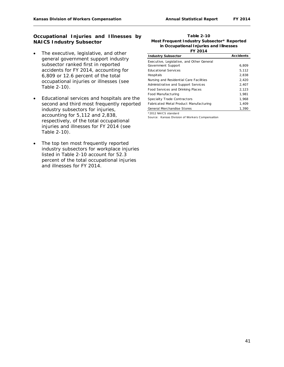#### **Occupational Injuries and Illnesses by NAICS Industry Subsector**

- The executive, legislative, and other general government support industry subsector ranked first in reported accidents for FY 2014, accounting for 6,809 or 12.6 percent of the total occupational injuries or illnesses (see Table 2-10).
- Educational services and hospitals are the second and third most frequently reported industry subsectors for injuries, accounting for 5,112 and 2,838, respectively, of the total occupational injuries and illnesses for FY 2014 (see Table 2-10).
- The top ten most frequently reported industry subsectors for workplace injuries listed in Table 2-10 account for 52.3 percent of the total occupational injuries and illnesses for FY 2014.

**Table 2-10 Most Frequent Industry Subsector\* Reported in Occupational Injuries and Illnesses FY 2014**

| <b>Industry Subsector</b>                 | <b>Accidents</b> |
|-------------------------------------------|------------------|
| Executive, Legislative, and Other General |                  |
| Government Support                        | 6,809            |
| <b>Educational Services</b>               | 5,112            |
| Hospitals                                 | 2.838            |
| Nursing and Residential Care Facilities   | 2,420            |
| Administrative and Support Services       | 2,407            |
| Food Services and Drinking Places         | 2.123            |
| Food Manufacturing                        | 1.981            |
| Specialty Trade Contractors               | 1.968            |
| Fabricated Metal Product Manufacturing    | 1.409            |
| General Merchandise Stores                | 1.390            |

\*2012 NAICS standard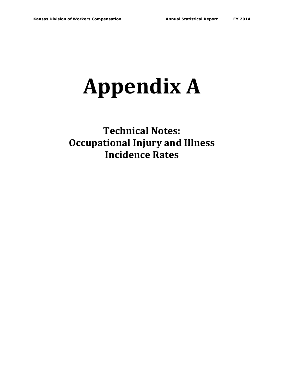# **Appendix A**

**Technical Notes: Occupational Injury and Illness Incidence Rates**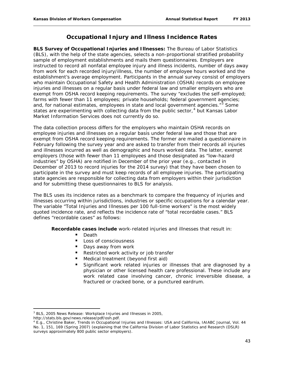# **Occupational Injury and Illness Incidence Rates**

**BLS Survey of Occupational Injuries and Illnesses:** The Bureau of Labor Statistics (BLS), with the help of the state agencies, selects a non-proportional stratified probability sample of employment establishments and mails them questionnaires. Employers are instructed to record all nonfatal employee injury and illness incidents, number of days away from work for each recorded injury/illness, the number of employee hours worked and the establishment's average employment. Participants in the annual survey consist of employers who maintain Occupational Safety and Health Administration (OSHA) records on employee injuries and illnesses on a regular basis under federal law and smaller employers who are exempt from OSHA record keeping requirements. The survey "excludes the self-employed; farms with fewer than 11 employees; private households; federal government agencies; and, for national estimates, employees in state and local government agencies."<sup>[3](#page-43-0)</sup> Some states are experimenting with collecting data from the public sector, $4$  but Kansas Labor Market Information Services does not currently do so.

The data collection process differs for the employers who maintain OSHA records on employee injuries and illnesses on a regular basis under federal law and those that are exempt from OSHA record keeping requirements. The former are mailed a questionnaire in February following the survey year and are asked to transfer from their records all injuries and illnesses incurred as well as demographic and hours worked data. The latter, exempt employers (those with fewer than 11 employees and those designated as "low-hazard industries" by OSHA) are notified in December of the prior year (e.g., contacted in December of 2013 to record injuries for the 2014 survey) that they have been chosen to participate in the survey and must keep records of all employee injuries. The participating state agencies are responsible for collecting data from employers within their jurisdiction and for submitting these questionnaires to BLS for analysis.

The BLS uses its incidence rates as a benchmark to compare the frequency of injuries and illnesses occurring within jurisdictions, industries or specific occupations for a calendar year. The variable "Total Injuries and Illnesses per 100 full-time workers" is the most widely quoted incidence rate, and reflects the incidence rate of "total recordable cases." BLS defines "recordable cases" as follows:

**Recordable cases include** work-related injuries and illnesses that result in:

- **Death**
- Loss of consciousness
- Days away from work
- Restricted work activity or job transfer
- Medical treatment (beyond first aid)
- Significant work related injuries or illnesses that are diagnosed by a physician or other licensed health care professional. These include any work related case involving cancer, chronic irreversible disease, a fractured or cracked bone, or a punctured eardrum.

l

<span id="page-43-0"></span><sup>3</sup> BLS, 2005 News Release: *Workplace Injuries and Illnesses in 2005*,

http://stats.bls.gov/news.release/pdf/osh.pdf.

<span id="page-43-1"></span><sup>4</sup> E.g., Christine Baker, *Trends in Occupational Injuries and Illnesses: USA and California*, IAIABC Journal, Vol. 44 No. 1, 151, 169 (Spring 2007) (explaining that the California Division of Labor Statistics and Research (DSLR) surveys approximately 800 public sector employers).